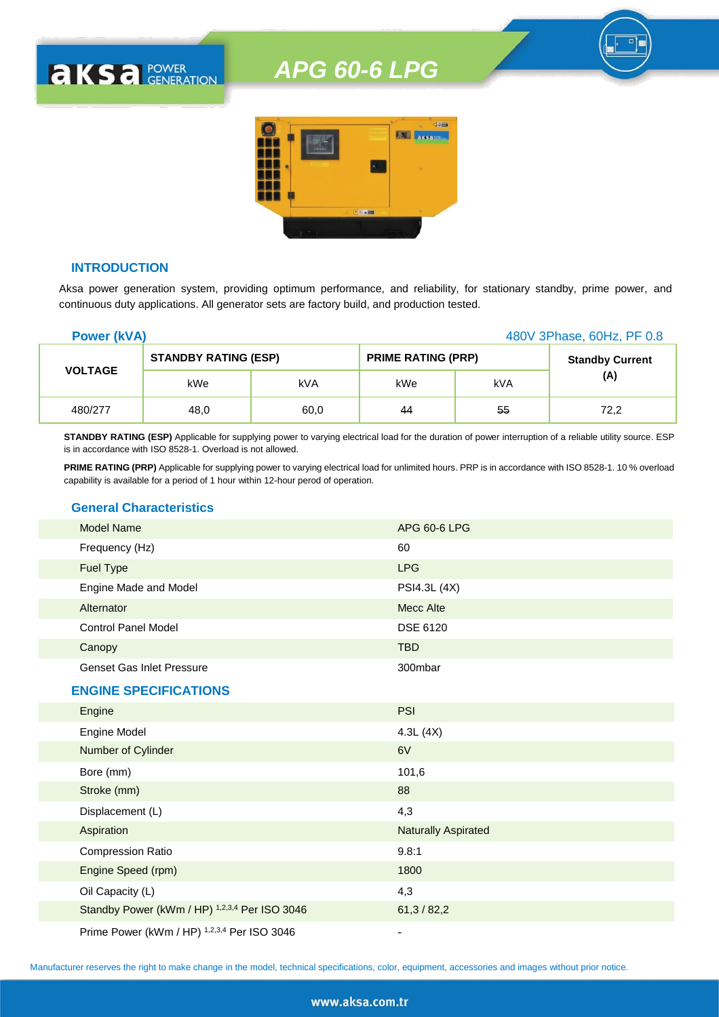

## **INTRODUCTION**

**AKSA POWER** 

Aksa power generation system, providing optimum performance, and reliability, for stationary standby, prime power, and continuous duty applications. All generator sets are factory build, and production tested.

| <b>Power (kVA)</b> |                             |      |                           |     | 480V 3Phase, 60Hz, PF 0.8 |
|--------------------|-----------------------------|------|---------------------------|-----|---------------------------|
|                    | <b>STANDBY RATING (ESP)</b> |      | <b>PRIME RATING (PRP)</b> |     | <b>Standby Current</b>    |
| <b>VOLTAGE</b>     | kWe                         | kVA  | kWe                       | kVA | (A)                       |
| 480/277            | 48,0                        | 60,0 | 44                        | 55  | 72,2                      |

**STANDBY RATING (ESP)** Applicable for supplying power to varying electrical load for the duration of power interruption of a reliable utility source. ESP is in accordance with ISO 8528-1. Overload is not allowed.

**PRIME RATING (PRP)** Applicable for supplying power to varying electrical load for unlimited hours. PRP is in accordance with ISO 8528-1. 10 % overload capability is available for a period of 1 hour within 12-hour perod of operation.

### **General Characteristics**

| <b>Model Name</b>                | APG 60-6 LPG |
|----------------------------------|--------------|
| Frequency (Hz)                   | 60           |
| <b>Fuel Type</b>                 | <b>LPG</b>   |
| Engine Made and Model            | PSI4.3L (4X) |
| Alternator                       | Mecc Alte    |
| <b>Control Panel Model</b>       | DSE 6120     |
| Canopy                           | <b>TBD</b>   |
| <b>Genset Gas Inlet Pressure</b> | 300mbar      |
|                                  |              |

### **ENGINE SPECIFICATIONS**

| Engine                                        | <b>PSI</b>                 |
|-----------------------------------------------|----------------------------|
| Engine Model                                  | 4.3L(4X)                   |
| Number of Cylinder                            | 6V                         |
| Bore (mm)                                     | 101,6                      |
| Stroke (mm)                                   | 88                         |
| Displacement (L)                              | 4,3                        |
| Aspiration                                    | <b>Naturally Aspirated</b> |
| <b>Compression Ratio</b>                      | 9.8:1                      |
| Engine Speed (rpm)                            | 1800                       |
| Oil Capacity (L)                              | 4,3                        |
| Standby Power (kWm / HP) 1,2,3,4 Per ISO 3046 | 61,3/82,2                  |
| Prime Power (kWm / HP) 1,2,3,4 Per ISO 3046   |                            |

Manufacturer reserves the right to make change in the model, technical specifications, color, equipment, accessories and images without prior notice.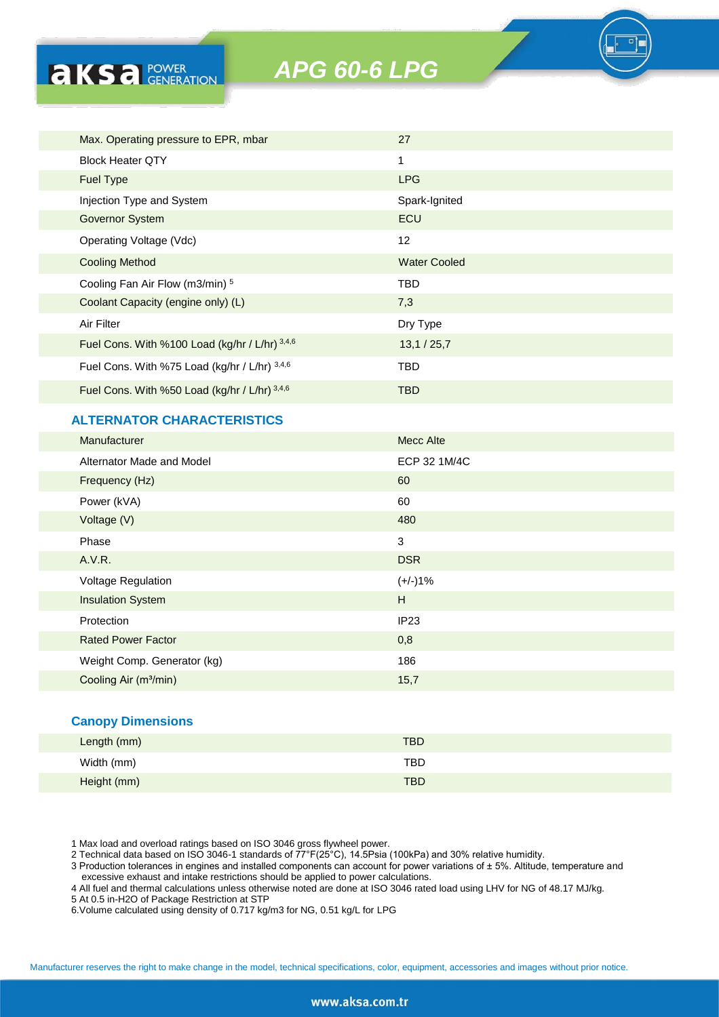| Max. Operating pressure to EPR, mbar           | 27                  |
|------------------------------------------------|---------------------|
| <b>Block Heater OTY</b>                        | 1                   |
| <b>Fuel Type</b>                               | <b>LPG</b>          |
| Injection Type and System                      | Spark-Ignited       |
| <b>Governor System</b>                         | <b>ECU</b>          |
| Operating Voltage (Vdc)                        | 12                  |
| <b>Cooling Method</b>                          | <b>Water Cooled</b> |
| Cooling Fan Air Flow (m3/min) 5                | <b>TBD</b>          |
| Coolant Capacity (engine only) (L)             | 7,3                 |
| Air Filter                                     | Dry Type            |
| Fuel Cons. With %100 Load (kg/hr / L/hr) 3,4,6 | 13,1/25,7           |
| Fuel Cons. With %75 Load (kg/hr / L/hr) 3,4,6  | <b>TBD</b>          |
| Fuel Cons. With %50 Load (kg/hr / L/hr) 3,4,6  | <b>TBD</b>          |

# **ALTERNATOR CHARACTERISTICS**

**AKSA POWER** 

| Manufacturer                      | Mecc Alte    |
|-----------------------------------|--------------|
| Alternator Made and Model         | ECP 32 1M/4C |
| Frequency (Hz)                    | 60           |
| Power (kVA)                       | 60           |
| Voltage (V)                       | 480          |
| Phase                             | 3            |
| A.V.R.                            | <b>DSR</b>   |
| Voltage Regulation                | $(+/-)1%$    |
| <b>Insulation System</b>          | H            |
| Protection                        | IP23         |
| <b>Rated Power Factor</b>         | 0,8          |
| Weight Comp. Generator (kg)       | 186          |
| Cooling Air (m <sup>3</sup> /min) | 15,7         |
|                                   |              |

#### **Canopy Dimensions**

| Length (mm) | <b>TBD</b> |
|-------------|------------|
| Width (mm)  | <b>TBD</b> |
| Height (mm) | <b>TBD</b> |

1 Max load and overload ratings based on ISO 3046 gross flywheel power.

2 Technical data based on ISO 3046-1 standards of 77°F(25°C), 14.5Psia (100kPa) and 30% relative humidity.

3 Production tolerances in engines and installed components can account for power variations of ± 5%. Altitude, temperature and excessive exhaust and intake restrictions should be applied to power calculations.

4 All fuel and thermal calculations unless otherwise noted are done at ISO 3046 rated load using LHV for NG of 48.17 MJ/kg.

5 At 0.5 in-H2O of Package Restriction at STP

6.Volume calculated using density of 0.717 kg/m3 for NG, 0.51 kg/L for LPG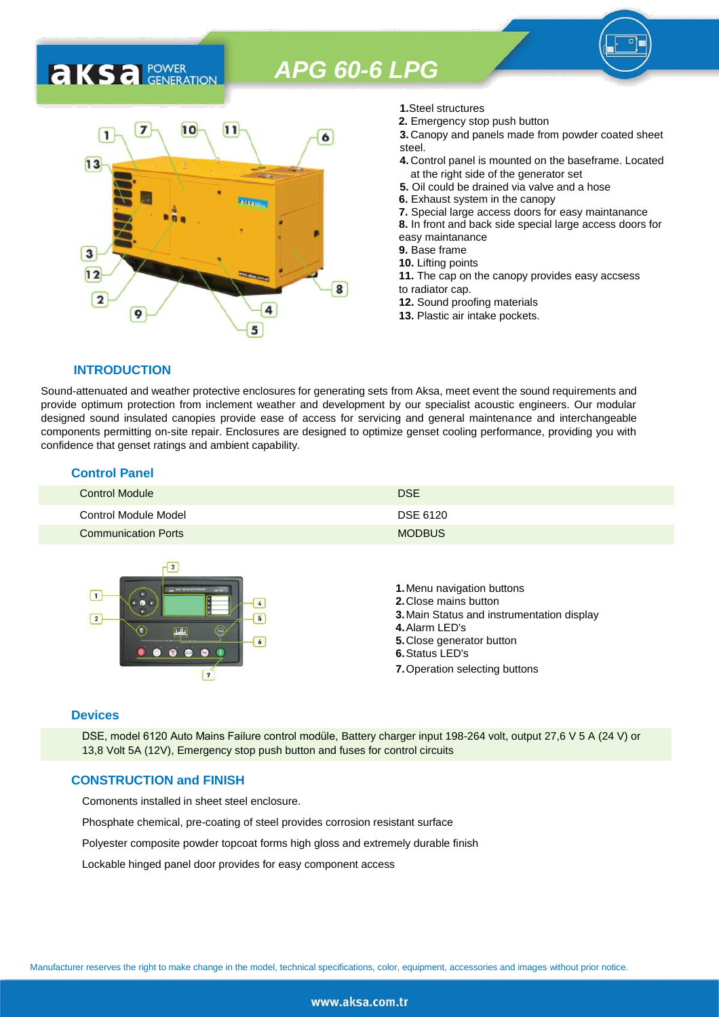

- **1.**Steel structures
- **2.** Emergency stop push button
- **3.** Canopy and panels made from powder coated sheet steel.
- **4.** Control panel is mounted on the baseframe. Located at the right side of the generator set
- **5.** Oil could be drained via valve and a hose
- **6.** Exhaust system in the canopy
- **7.** Special large access doors for easy maintanance
- **8.** In front and back side special large access doors for
- easy maintanance
- **9.** Base frame
- **10.** Lifting points
- **11.** The cap on the canopy provides easy accsess to radiator cap.
- **12.** Sound proofing materials
- **13.** Plastic air intake pockets.

### **INTRODUCTION**

**AKS** *C C <b>C GENERATION* 

Sound-attenuated and weather protective enclosures for generating sets from Aksa, meet event the sound requirements and provide optimum protection from inclement weather and development by our specialist acoustic engineers. Our modular designed sound insulated canopies provide ease of access for servicing and general maintenance and interchangeable components permitting on-site repair. Enclosures are designed to optimize genset cooling performance, providing you with confidence that genset ratings and ambient capability.

#### **Control Panel**

| Control Module             | <b>DSE</b>    |
|----------------------------|---------------|
| Control Module Model       | DSE 6120      |
| <b>Communication Ports</b> | <b>MODBUS</b> |



#### **Devices**

DSE, model 6120 Auto Mains Failure control modüle, Battery charger input 198-264 volt, output 27,6 V 5 A (24 V) or 13,8 Volt 5A (12V), Emergency stop push button and fuses for control circuits

### **CONSTRUCTION and FINISH**

Comonents installed in sheet steel enclosure.

Phosphate chemical, pre-coating of steel provides corrosion resistant surface

Polyester composite powder topcoat forms high gloss and extremely durable finish

Lockable hinged panel door provides for easy component access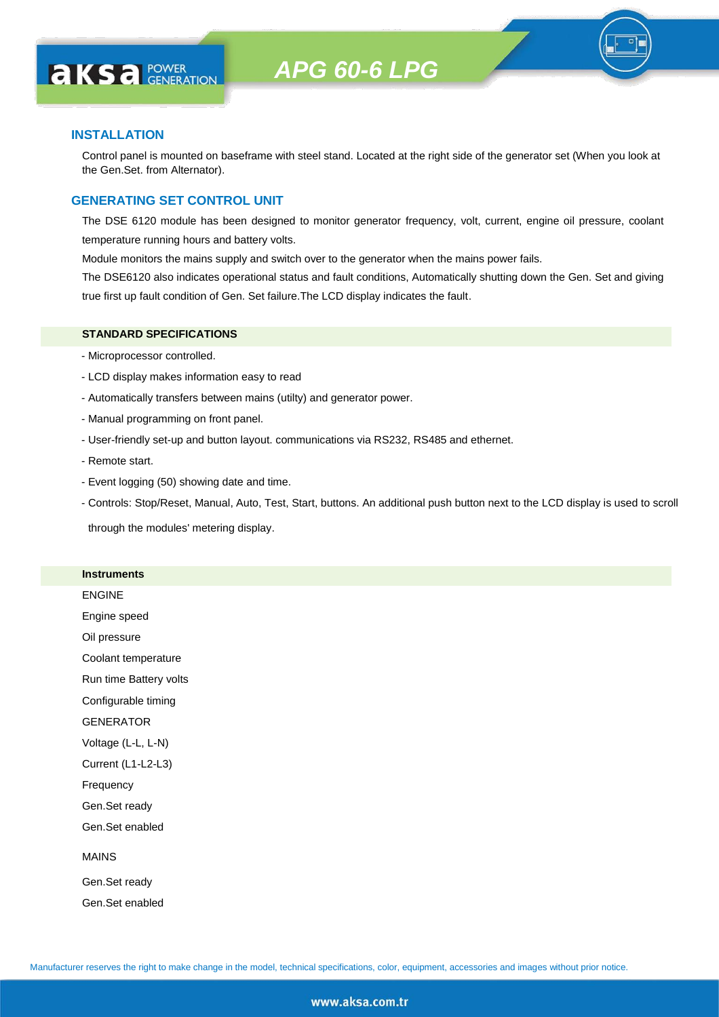

#### **INSTALLATION**

**AKS** *C C <b>C GENERATION* 

Control panel is mounted on baseframe with steel stand. Located at the right side of the generator set (When you look at the Gen.Set. from Alternator).

#### **GENERATING SET CONTROL UNIT**

The DSE 6120 module has been designed to monitor generator frequency, volt, current, engine oil pressure, coolant temperature running hours and battery volts.

Module monitors the mains supply and switch over to the generator when the mains power fails.

The DSE6120 also indicates operational status and fault conditions, Automatically shutting down the Gen. Set and giving true first up fault condition of Gen. Set failure.The LCD display indicates the fault.

#### **STANDARD SPECIFICATIONS**

- Microprocessor controlled.
- LCD display makes information easy to read
- Automatically transfers between mains (utilty) and generator power.
- Manual programming on front panel.
- User-friendly set-up and button layout. communications via RS232, RS485 and ethernet.
- Remote start.
- Event logging (50) showing date and time.
- Controls: Stop/Reset, Manual, Auto, Test, Start, buttons. An additional push button next to the LCD display is used to scroll

through the modules' metering display.

#### **Instruments**

ENGINE

Engine speed

Oil pressure

Coolant temperature

Run time Battery volts

Configurable timing

GENERATOR

Voltage (L-L, L-N)

Current (L1-L2-L3)

Frequency

Gen.Set ready

Gen.Set enabled

#### MAINS

Gen.Set ready Gen.Set enabled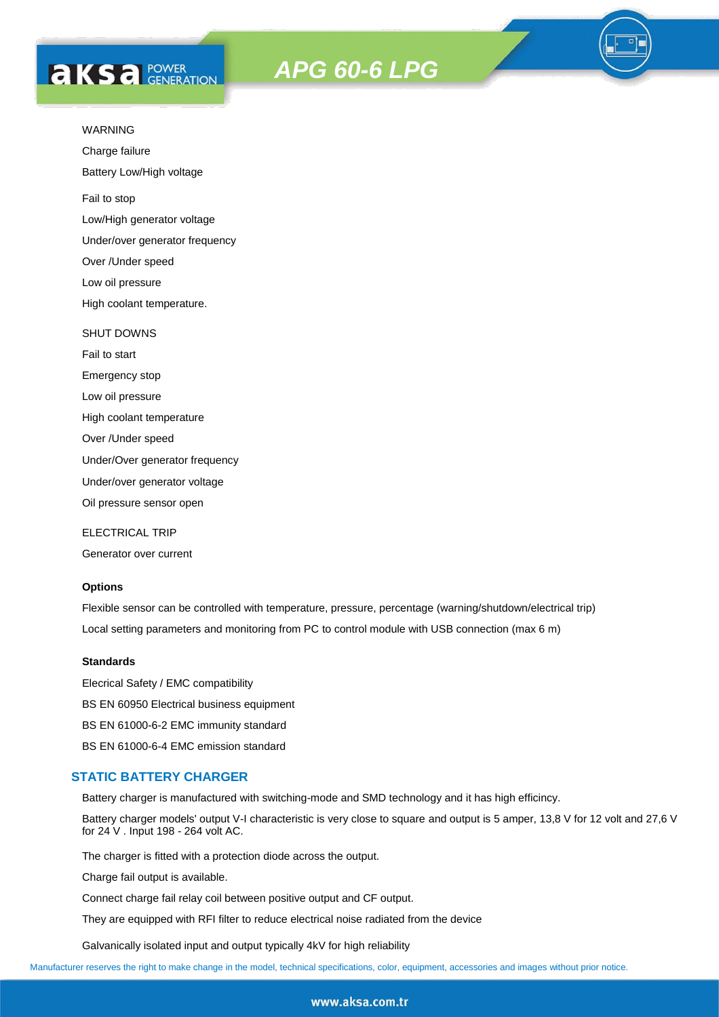# **AKS** *C C <b>C GENERATION*

# *APG 60-6 LPG*



Charge failure

Battery Low/High voltage

Fail to stop

Low/High generator voltage

Under/over generator frequency

Over /Under speed

Low oil pressure

High coolant temperature.

#### SHUT DOWNS

Fail to start Emergency stop Low oil pressure High coolant temperature

Over /Under speed

Under/Over generator frequency

Under/over generator voltage

Oil pressure sensor open

ELECTRICAL TRIP

Generator over current

### **Options**

Flexible sensor can be controlled with temperature, pressure, percentage (warning/shutdown/electrical trip) Local setting parameters and monitoring from PC to control module with USB connection (max 6 m)

#### **Standards**

Elecrical Safety / EMC compatibility BS EN 60950 Electrical business equipment BS EN 61000-6-2 EMC immunity standard BS EN 61000-6-4 EMC emission standard

#### **STATIC BATTERY CHARGER**

Battery charger is manufactured with switching-mode and SMD technology and it has high efficincy.

Battery charger models' output V-I characteristic is very close to square and output is 5 amper, 13,8 V for 12 volt and 27,6 V for 24 V . Input 198 - 264 volt AC.

The charger is fitted with a protection diode across the output.

Charge fail output is available.

Connect charge fail relay coil between positive output and CF output.

They are equipped with RFI filter to reduce electrical noise radiated from the device

Galvanically isolated input and output typically 4kV for high reliability

Manufacturer reserves the right to make change in the model, technical specifications, color, equipment, accessories and images without prior notice.